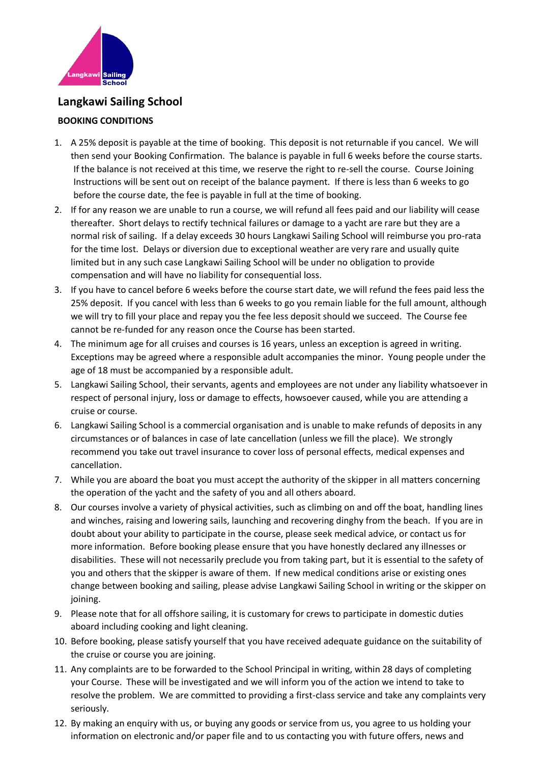

## **Langkawi Sailing School**

## **BOOKING CONDITIONS**

- 1. A 25% deposit is payable at the time of booking. This deposit is not returnable if you cancel. We will then send your Booking Confirmation. The balance is payable in full 6 weeks before the course starts. If the balance is not received at this time, we reserve the right to re-sell the course. Course Joining Instructions will be sent out on receipt of the balance payment. If there is less than 6 weeks to go before the course date, the fee is payable in full at the time of booking.
- 2. If for any reason we are unable to run a course, we will refund all fees paid and our liability will cease thereafter. Short delays to rectify technical failures or damage to a yacht are rare but they are a normal risk of sailing. If a delay exceeds 30 hours Langkawi Sailing School will reimburse you pro-rata for the time lost. Delays or diversion due to exceptional weather are very rare and usually quite limited but in any such case Langkawi Sailing School will be under no obligation to provide compensation and will have no liability for consequential loss.
- 3. If you have to cancel before 6 weeks before the course start date, we will refund the fees paid less the 25% deposit. If you cancel with less than 6 weeks to go you remain liable for the full amount, although we will try to fill your place and repay you the fee less deposit should we succeed. The Course fee cannot be re-funded for any reason once the Course has been started.
- 4. The minimum age for all cruises and courses is 16 years, unless an exception is agreed in writing. Exceptions may be agreed where a responsible adult accompanies the minor. Young people under the age of 18 must be accompanied by a responsible adult.
- 5. Langkawi Sailing School, their servants, agents and employees are not under any liability whatsoever in respect of personal injury, loss or damage to effects, howsoever caused, while you are attending a cruise or course.
- 6. Langkawi Sailing School is a commercial organisation and is unable to make refunds of deposits in any circumstances or of balances in case of late cancellation (unless we fill the place). We strongly recommend you take out travel insurance to cover loss of personal effects, medical expenses and cancellation.
- 7. While you are aboard the boat you must accept the authority of the skipper in all matters concerning the operation of the yacht and the safety of you and all others aboard.
- 8. Our courses involve a variety of physical activities, such as climbing on and off the boat, handling lines and winches, raising and lowering sails, launching and recovering dinghy from the beach. If you are in doubt about your ability to participate in the course, please seek medical advice, or contact us for more information. Before booking please ensure that you have honestly declared any illnesses or disabilities. These will not necessarily preclude you from taking part, but it is essential to the safety of you and others that the skipper is aware of them. If new medical conditions arise or existing ones change between booking and sailing, please advise Langkawi Sailing School in writing or the skipper on joining.
- 9. Please note that for all offshore sailing, it is customary for crews to participate in domestic duties aboard including cooking and light cleaning.
- 10. Before booking, please satisfy yourself that you have received adequate guidance on the suitability of the cruise or course you are joining.
- 11. Any complaints are to be forwarded to the School Principal in writing, within 28 days of completing your Course. These will be investigated and we will inform you of the action we intend to take to resolve the problem. We are committed to providing a first-class service and take any complaints very seriously.
- 12. By making an enquiry with us, or buying any goods or service from us, you agree to us holding your information on electronic and/or paper file and to us contacting you with future offers, news and